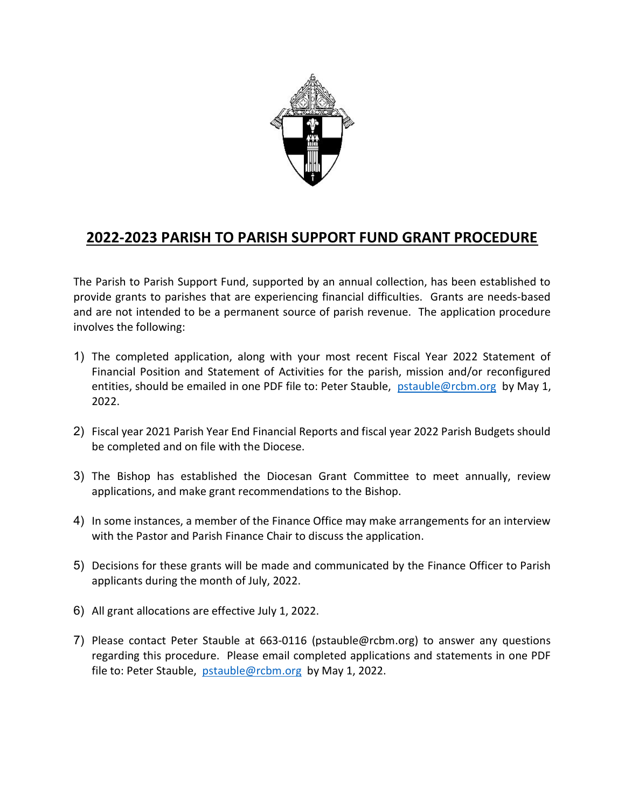

## 2022-2023 PARISH TO PARISH SUPPORT FUND GRANT PROCEDURE

The Parish to Parish Support Fund, supported by an annual collection, has been established to provide grants to parishes that are experiencing financial difficulties. Grants are needs-based and are not intended to be a permanent source of parish revenue. The application procedure involves the following:

- 1) The completed application, along with your most recent Fiscal Year 2022 Statement of Financial Position and Statement of Activities for the parish, mission and/or reconfigured entities, should be emailed in one PDF file to: Peter Stauble, pstauble@rcbm.org by May 1, 2022.
- 2) Fiscal year 2021 Parish Year End Financial Reports and fiscal year 2022 Parish Budgets should be completed and on file with the Diocese.
- 3) The Bishop has established the Diocesan Grant Committee to meet annually, review applications, and make grant recommendations to the Bishop.
- 4) In some instances, a member of the Finance Office may make arrangements for an interview with the Pastor and Parish Finance Chair to discuss the application.
- 5) Decisions for these grants will be made and communicated by the Finance Officer to Parish applicants during the month of July, 2022.
- 6) All grant allocations are effective July 1, 2022.
- 7) Please contact Peter Stauble at 663-0116 (pstauble@rcbm.org) to answer any questions regarding this procedure. Please email completed applications and statements in one PDF file to: Peter Stauble, pstauble@rcbm.org by May 1, 2022.